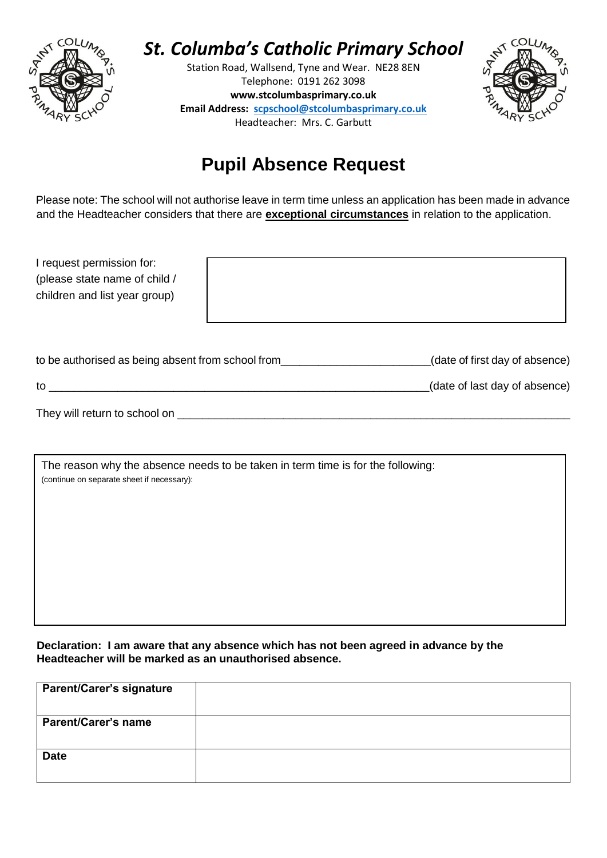

## *St. Columba's Catholic Primary School*

Station Road, Wallsend, Tyne and Wear. NE28 8EN Telephone: 0191 262 3098 **www.stcolumbasprimary.co.uk Email Address: [scpschool@stcolumbasprimary.co.uk](mailto:scpschool@stcolumbasprimary.co.uk)** Headteacher: Mrs. C. Garbutt



### **Pupil Absence Request**

Please note: The school will not authorise leave in term time unless an application has been made in advance and the Headteacher considers that there are **exceptional circumstances** in relation to the application.

| I request permission for:                         |  |                                |
|---------------------------------------------------|--|--------------------------------|
| (please state name of child /                     |  |                                |
| children and list year group)                     |  |                                |
|                                                   |  |                                |
|                                                   |  |                                |
| to be authorised as being absent from school from |  | (date of first day of absence) |
| to                                                |  | (date of last day of absence)  |
| They will return to school on                     |  |                                |

| The reason why the absence needs to be taken in term time is for the following:<br>(continue on separate sheet if necessary): |  |  |
|-------------------------------------------------------------------------------------------------------------------------------|--|--|
|                                                                                                                               |  |  |
|                                                                                                                               |  |  |
|                                                                                                                               |  |  |
|                                                                                                                               |  |  |

**Declaration: I am aware that any absence which has not been agreed in advance by the Headteacher will be marked as an unauthorised absence.**

| <b>Parent/Carer's signature</b> |  |
|---------------------------------|--|
| <b>Parent/Carer's name</b>      |  |
| <b>Date</b>                     |  |